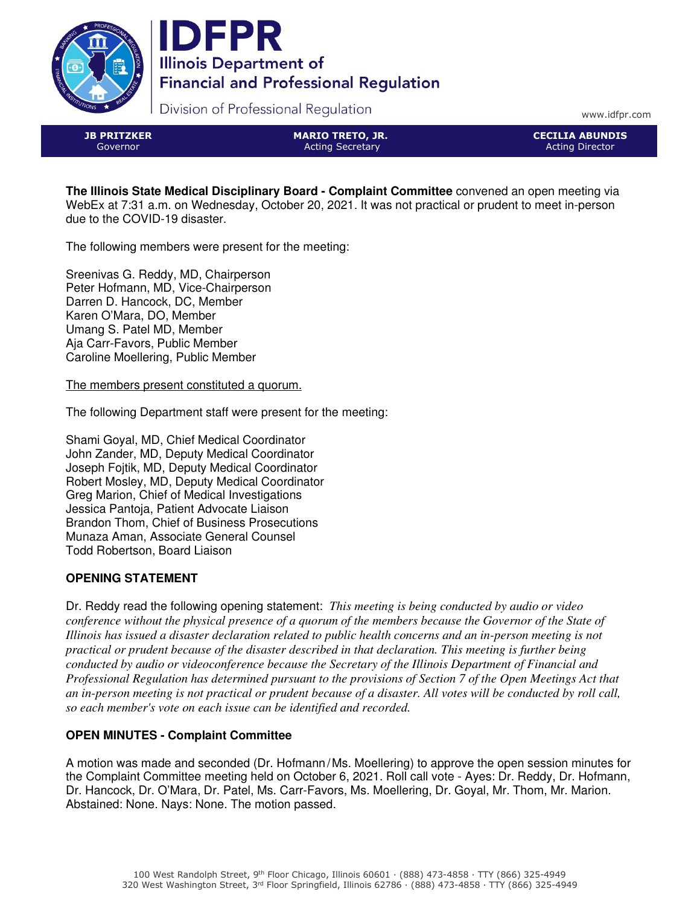



Division of Professional Regulation

www.idfpr.com

JB PRITZKER Governor

MARIO TRETO, JR. Acting Secretary

CECILIA ABUNDIS Acting Director

**The Illinois State Medical Disciplinary Board - Complaint Committee** convened an open meeting via WebEx at 7:31 a.m. on Wednesday, October 20, 2021. It was not practical or prudent to meet in-person due to the COVID-19 disaster.

The following members were present for the meeting:

Sreenivas G. Reddy, MD, Chairperson Peter Hofmann, MD, Vice-Chairperson Darren D. Hancock, DC, Member Karen O'Mara, DO, Member Umang S. Patel MD, Member Aja Carr-Favors, Public Member Caroline Moellering, Public Member

The members present constituted a quorum.

The following Department staff were present for the meeting:

Shami Goyal, MD, Chief Medical Coordinator John Zander, MD, Deputy Medical Coordinator Joseph Fojtik, MD, Deputy Medical Coordinator Robert Mosley, MD, Deputy Medical Coordinator Greg Marion, Chief of Medical Investigations Jessica Pantoja, Patient Advocate Liaison Brandon Thom, Chief of Business Prosecutions Munaza Aman, Associate General Counsel Todd Robertson, Board Liaison

## **OPENING STATEMENT**

Dr. Reddy read the following opening statement: *This meeting is being conducted by audio or video conference without the physical presence of a quorum of the members because the Governor of the State of Illinois has issued a disaster declaration related to public health concerns and an in-person meeting is not practical or prudent because of the disaster described in that declaration. This meeting is further being conducted by audio or videoconference because the Secretary of the Illinois Department of Financial and Professional Regulation has determined pursuant to the provisions of Section 7 of the Open Meetings Act that an in-person meeting is not practical or prudent because of a disaster. All votes will be conducted by roll call, so each member's vote on each issue can be identified and recorded.*

# **OPEN MINUTES - Complaint Committee**

A motion was made and seconded (Dr. Hofmann/Ms. Moellering) to approve the open session minutes for the Complaint Committee meeting held on October 6, 2021. Roll call vote - Ayes: Dr. Reddy, Dr. Hofmann, Dr. Hancock, Dr. O'Mara, Dr. Patel, Ms. Carr-Favors, Ms. Moellering, Dr. Goyal, Mr. Thom, Mr. Marion. Abstained: None. Nays: None. The motion passed.